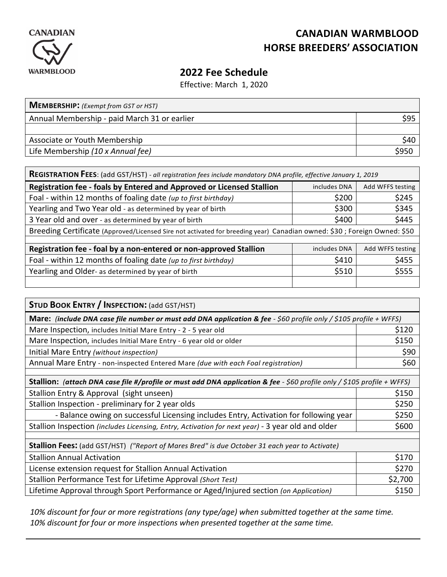

## **CANADIAN WARMBLOOD HORSE BREEDERS' ASSOCIATION**

## **2022 Fee Schedule**

Effective: March 1, 2020

| <b>MEMBERSHIP:</b> (Exempt from GST or HST)  |      |  |
|----------------------------------------------|------|--|
| Annual Membership - paid March 31 or earlier | \$95 |  |
|                                              |      |  |
| Associate or Youth Membership                | \$40 |  |
| Life Membership (10 x Annual fee)            |      |  |

| REGISTRATION FEES: (add GST/HST) - all registration fees include mandatory DNA profile, effective January 1, 2019       |              |                  |
|-------------------------------------------------------------------------------------------------------------------------|--------------|------------------|
| Registration fee - foals by Entered and Approved or Licensed Stallion                                                   | includes DNA | Add WFFS testing |
| Foal - within 12 months of foaling date (up to first birthday)                                                          | \$200        | \$245            |
| Yearling and Two Year old - as determined by year of birth                                                              | \$300        | \$345            |
| 3 Year old and over - as determined by year of birth                                                                    | \$400        | \$445            |
| Breeding Certificate (Approved/Licensed Sire not activated for breeding year) Canadian owned: \$30; Foreign Owned: \$50 |              |                  |
|                                                                                                                         |              |                  |
| Registration fee - foal by a non-entered or non-approved Stallion                                                       | includes DNA | Add WFFS testing |
| Foal - within 12 months of foaling date (up to first birthday)                                                          | \$410        | \$455            |
| Yearling and Older- as determined by year of birth                                                                      | \$510        | \$555            |
|                                                                                                                         |              |                  |

| <b>STUD BOOK ENTRY / INSPECTION: (add GST/HST)</b>                                                                             |         |  |
|--------------------------------------------------------------------------------------------------------------------------------|---------|--|
| Mare: (include DNA case file number or must add DNA application & fee - \$60 profile only / \$105 profile + WFFS)              |         |  |
| Mare Inspection, includes Initial Mare Entry - 2 - 5 year old                                                                  | \$120   |  |
| Mare Inspection, includes Initial Mare Entry - 6 year old or older                                                             | \$150   |  |
| Initial Mare Entry (without inspection)                                                                                        | \$90    |  |
| Annual Mare Entry - non-inspected Entered Mare (due with each Foal registration)                                               | \$60    |  |
|                                                                                                                                |         |  |
| <b>Stallion:</b> (attach DNA case file #/profile or must add DNA application & fee - \$60 profile only / \$105 profile + WFFS) |         |  |
| Stallion Entry & Approval (sight unseen)                                                                                       | \$150   |  |
| Stallion Inspection - preliminary for 2 year olds                                                                              | \$250   |  |
| - Balance owing on successful Licensing includes Entry, Activation for following year                                          | \$250   |  |
| Stallion Inspection (includes Licensing, Entry, Activation for next year) - 3 year old and older                               | \$600   |  |
|                                                                                                                                |         |  |
| <b>Stallion Fees:</b> (add GST/HST) ("Report of Mares Bred" is due October 31 each year to Activate)                           |         |  |
| <b>Stallion Annual Activation</b>                                                                                              | \$170   |  |
| License extension request for Stallion Annual Activation                                                                       | \$270   |  |
| Stallion Performance Test for Lifetime Approval (Short Test)                                                                   | \$2,700 |  |
| Lifetime Approval through Sport Performance or Aged/Injured section (on Application)                                           | \$150   |  |

10% discount for four or more registrations (any type/age) when submitted together at the same time. 10% discount for four or more inspections when presented together at the same time.